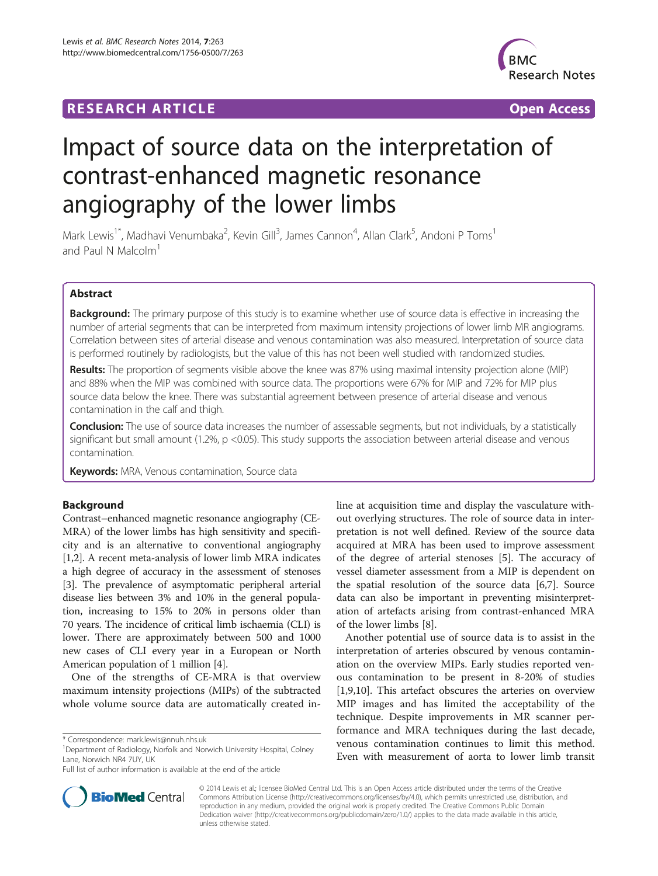# **RESEARCH ARTICLE Example 2018 12:00 Department 2018 12:00 Department 2018 12:00 Department 2018 12:00 Department 2018 12:00 Department 2018 12:00 Department 2018 12:00 Department 2018 12:00 Department 2018 12:00 Departm**



# Impact of source data on the interpretation of contrast-enhanced magnetic resonance angiography of the lower limbs

Mark Lewis<sup>1\*</sup>, Madhavi Venumbaka<sup>2</sup>, Kevin Gill<sup>3</sup>, James Cannon<sup>4</sup>, Allan Clark<sup>5</sup>, Andoni P Toms<sup>1</sup> and Paul N Malcolm<sup>1</sup>

# Abstract

Background: The primary purpose of this study is to examine whether use of source data is effective in increasing the number of arterial segments that can be interpreted from maximum intensity projections of lower limb MR angiograms. Correlation between sites of arterial disease and venous contamination was also measured. Interpretation of source data is performed routinely by radiologists, but the value of this has not been well studied with randomized studies.

Results: The proportion of segments visible above the knee was 87% using maximal intensity projection alone (MIP) and 88% when the MIP was combined with source data. The proportions were 67% for MIP and 72% for MIP plus source data below the knee. There was substantial agreement between presence of arterial disease and venous contamination in the calf and thigh.

**Conclusion:** The use of source data increases the number of assessable segments, but not individuals, by a statistically significant but small amount (1.2%, p <0.05). This study supports the association between arterial disease and venous contamination.

Keywords: MRA, Venous contamination, Source data

# **Background**

Contrast–enhanced magnetic resonance angiography (CE-MRA) of the lower limbs has high sensitivity and specificity and is an alternative to conventional angiography [[1,2](#page-6-0)]. A recent meta-analysis of lower limb MRA indicates a high degree of accuracy in the assessment of stenoses [[3\]](#page-6-0). The prevalence of asymptomatic peripheral arterial disease lies between 3% and 10% in the general population, increasing to 15% to 20% in persons older than 70 years. The incidence of critical limb ischaemia (CLI) is lower. There are approximately between 500 and 1000 new cases of CLI every year in a European or North American population of 1 million [\[4](#page-6-0)].

One of the strengths of CE-MRA is that overview maximum intensity projections (MIPs) of the subtracted whole volume source data are automatically created in-

<sup>1</sup>Department of Radiology, Norfolk and Norwich University Hospital, Colney Lane, Norwich NR4 7UY, UK

Full list of author information is available at the end of the article



Another potential use of source data is to assist in the interpretation of arteries obscured by venous contamination on the overview MIPs. Early studies reported venous contamination to be present in 8-20% of studies [[1,9,10\]](#page-6-0). This artefact obscures the arteries on overview MIP images and has limited the acceptability of the technique. Despite improvements in MR scanner performance and MRA techniques during the last decade, venous contamination continues to limit this method. Even with measurement of aorta to lower limb transit



© 2014 Lewis et al.; licensee BioMed Central Ltd. This is an Open Access article distributed under the terms of the Creative Commons Attribution License [\(http://creativecommons.org/licenses/by/4.0\)](http://creativecommons.org/licenses/by/4.0), which permits unrestricted use, distribution, and reproduction in any medium, provided the original work is properly credited. The Creative Commons Public Domain Dedication waiver [\(http://creativecommons.org/publicdomain/zero/1.0/](http://creativecommons.org/publicdomain/zero/1.0/)) applies to the data made available in this article, unless otherwise stated.

<sup>\*</sup> Correspondence: [mark.lewis@nnuh.nhs.uk](mailto:mark.lewis@nnuh.nhs.uk) <sup>1</sup>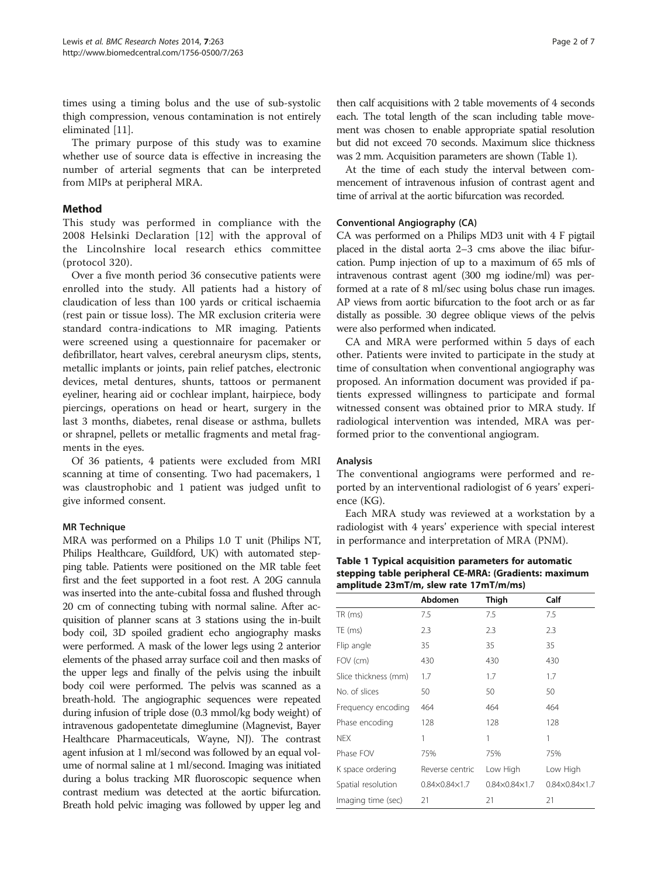times using a timing bolus and the use of sub-systolic thigh compression, venous contamination is not entirely eliminated [[11](#page-6-0)].

The primary purpose of this study was to examine whether use of source data is effective in increasing the number of arterial segments that can be interpreted from MIPs at peripheral MRA.

# Method

This study was performed in compliance with the 2008 Helsinki Declaration [[12](#page-6-0)] with the approval of the Lincolnshire local research ethics committee (protocol 320).

Over a five month period 36 consecutive patients were enrolled into the study. All patients had a history of claudication of less than 100 yards or critical ischaemia (rest pain or tissue loss). The MR exclusion criteria were standard contra-indications to MR imaging. Patients were screened using a questionnaire for pacemaker or defibrillator, heart valves, cerebral aneurysm clips, stents, metallic implants or joints, pain relief patches, electronic devices, metal dentures, shunts, tattoos or permanent eyeliner, hearing aid or cochlear implant, hairpiece, body piercings, operations on head or heart, surgery in the last 3 months, diabetes, renal disease or asthma, bullets or shrapnel, pellets or metallic fragments and metal fragments in the eyes.

Of 36 patients, 4 patients were excluded from MRI scanning at time of consenting. Two had pacemakers, 1 was claustrophobic and 1 patient was judged unfit to give informed consent.

# MR Technique

MRA was performed on a Philips 1.0 T unit (Philips NT, Philips Healthcare, Guildford, UK) with automated stepping table. Patients were positioned on the MR table feet first and the feet supported in a foot rest. A 20G cannula was inserted into the ante-cubital fossa and flushed through 20 cm of connecting tubing with normal saline. After acquisition of planner scans at 3 stations using the in-built body coil, 3D spoiled gradient echo angiography masks were performed. A mask of the lower legs using 2 anterior elements of the phased array surface coil and then masks of the upper legs and finally of the pelvis using the inbuilt body coil were performed. The pelvis was scanned as a breath-hold. The angiographic sequences were repeated during infusion of triple dose (0.3 mmol/kg body weight) of intravenous gadopentetate dimeglumine (Magnevist, Bayer Healthcare Pharmaceuticals, Wayne, NJ). The contrast agent infusion at 1 ml/second was followed by an equal volume of normal saline at 1 ml/second. Imaging was initiated during a bolus tracking MR fluoroscopic sequence when contrast medium was detected at the aortic bifurcation. Breath hold pelvic imaging was followed by upper leg and

then calf acquisitions with 2 table movements of 4 seconds each. The total length of the scan including table movement was chosen to enable appropriate spatial resolution but did not exceed 70 seconds. Maximum slice thickness was 2 mm. Acquisition parameters are shown (Table 1).

At the time of each study the interval between commencement of intravenous infusion of contrast agent and time of arrival at the aortic bifurcation was recorded.

# Conventional Angiography (CA)

CA was performed on a Philips MD3 unit with 4 F pigtail placed in the distal aorta 2–3 cms above the iliac bifurcation. Pump injection of up to a maximum of 65 mls of intravenous contrast agent (300 mg iodine/ml) was performed at a rate of 8 ml/sec using bolus chase run images. AP views from aortic bifurcation to the foot arch or as far distally as possible. 30 degree oblique views of the pelvis were also performed when indicated.

CA and MRA were performed within 5 days of each other. Patients were invited to participate in the study at time of consultation when conventional angiography was proposed. An information document was provided if patients expressed willingness to participate and formal witnessed consent was obtained prior to MRA study. If radiological intervention was intended, MRA was performed prior to the conventional angiogram.

# Analysis

The conventional angiograms were performed and reported by an interventional radiologist of 6 years' experience (KG).

Each MRA study was reviewed at a workstation by a radiologist with 4 years' experience with special interest in performance and interpretation of MRA (PNM).

Table 1 Typical acquisition parameters for automatic stepping table peripheral CE-MRA: (Gradients: maximum amplitude 23mT/m, slew rate 17mT/m/ms)

|                      | Abdomen                       | Thigh                         | Calf                          |
|----------------------|-------------------------------|-------------------------------|-------------------------------|
| TR (ms)              | 7.5                           | 7.5                           | 7.5                           |
| TE (ms)              | 2.3                           | 2.3                           | 2.3                           |
| Flip angle           | 35                            | 35                            | 35                            |
| FOV (cm)             | 430                           | 430                           | 430                           |
| Slice thickness (mm) | 1.7                           | 1.7                           | 1.7                           |
| No. of slices        | 50                            | 50                            | 50                            |
| Frequency encoding   | 464                           | 464                           | 464                           |
| Phase encoding       | 128                           | 128                           | 128                           |
| <b>NEX</b>           | 1                             | 1                             | 1                             |
| Phase FOV            | 75%                           | 75%                           | 75%                           |
| K space ordering     | Reverse centric               | Low High                      | Low High                      |
| Spatial resolution   | $0.84 \times 0.84 \times 1.7$ | $0.84 \times 0.84 \times 1.7$ | $0.84 \times 0.84 \times 1.7$ |
| Imaging time (sec)   | 21                            | 21                            | 21                            |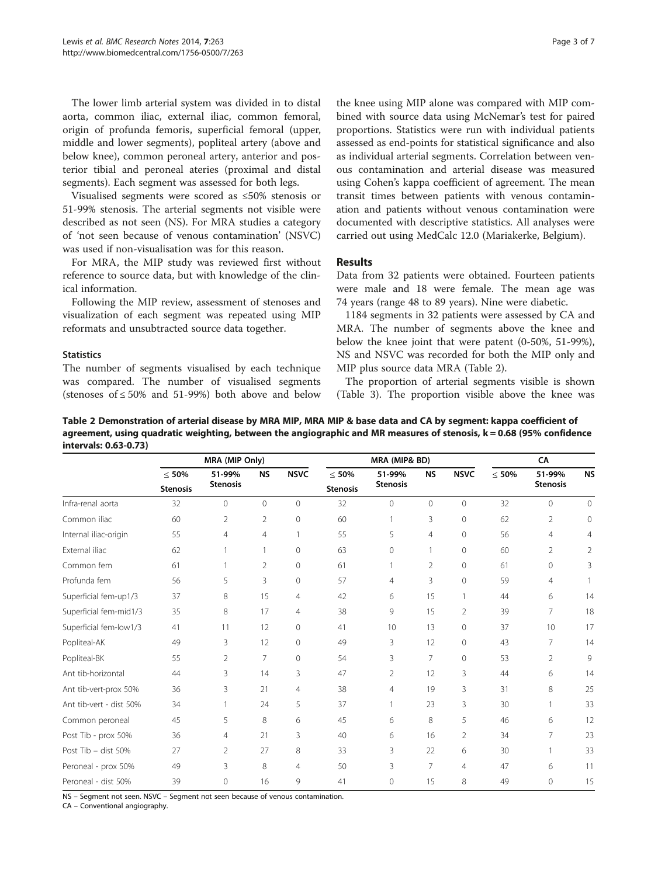The lower limb arterial system was divided in to distal aorta, common iliac, external iliac, common femoral, origin of profunda femoris, superficial femoral (upper, middle and lower segments), popliteal artery (above and below knee), common peroneal artery, anterior and posterior tibial and peroneal ateries (proximal and distal segments). Each segment was assessed for both legs.

Visualised segments were scored as ≤50% stenosis or 51-99% stenosis. The arterial segments not visible were described as not seen (NS). For MRA studies a category of 'not seen because of venous contamination' (NSVC) was used if non-visualisation was for this reason.

For MRA, the MIP study was reviewed first without reference to source data, but with knowledge of the clinical information.

Following the MIP review, assessment of stenoses and visualization of each segment was repeated using MIP reformats and unsubtracted source data together.

#### **Statistics**

The number of segments visualised by each technique was compared. The number of visualised segments (stenoses of  $\leq 50\%$  and 51-99%) both above and below the knee using MIP alone was compared with MIP combined with source data using McNemar's test for paired proportions. Statistics were run with individual patients assessed as end-points for statistical significance and also as individual arterial segments. Correlation between venous contamination and arterial disease was measured using Cohen's kappa coefficient of agreement. The mean transit times between patients with venous contamination and patients without venous contamination were documented with descriptive statistics. All analyses were carried out using MedCalc 12.0 (Mariakerke, Belgium).

#### Results

Data from 32 patients were obtained. Fourteen patients were male and 18 were female. The mean age was 74 years (range 48 to 89 years). Nine were diabetic.

1184 segments in 32 patients were assessed by CA and MRA. The number of segments above the knee and below the knee joint that were patent (0-50%, 51-99%), NS and NSVC was recorded for both the MIP only and MIP plus source data MRA (Table 2).

The proportion of arterial segments visible is shown (Table [3](#page-3-0)). The proportion visible above the knee was

Table 2 Demonstration of arterial disease by MRA MIP, MRA MIP & base data and CA by segment: kappa coefficient of agreement, using quadratic weighting, between the angiographic and MR measures of stenosis, k = 0.68 (95% confidence intervals: 0.63-0.73)

|                         | MRA (MIP Only)  |                 |                | MRA (MIP& BD)  |                 |                 |                | CA             |             |                 |                |
|-------------------------|-----------------|-----------------|----------------|----------------|-----------------|-----------------|----------------|----------------|-------------|-----------------|----------------|
|                         | < 50%           | 51-99%          | <b>NS</b>      | <b>NSVC</b>    | $\leq 50\%$     | 51-99%          | <b>NS</b>      | <b>NSVC</b>    | $\leq 50\%$ | 51-99%          | <b>NS</b>      |
|                         | <b>Stenosis</b> | <b>Stenosis</b> |                |                | <b>Stenosis</b> | <b>Stenosis</b> |                |                |             | <b>Stenosis</b> |                |
| Infra-renal aorta       | 32              | 0               | $\overline{0}$ | $\overline{0}$ | 32              | $\mathbf{0}$    | $\overline{0}$ | $\overline{0}$ | 32          | $\overline{0}$  | $\overline{0}$ |
| Common iliac            | 60              | 2               | 2              | $\mathbf 0$    | 60              | 1               | 3              | $\mathbf{0}$   | 62          | 2               | $\mathbf{0}$   |
| Internal iliac-origin   | 55              | 4               | $\overline{4}$ |                | 55              | 5               | $\overline{4}$ | 0              | 56          | $\overline{4}$  | 4              |
| External iliac          | 62              |                 | 1              | $\Omega$       | 63              | $\circ$         |                | $\mathbf{0}$   | 60          | 2               | 2              |
| Common fem              | 61              |                 | $\overline{2}$ | $\mathbf 0$    | 61              | 1               | $\overline{2}$ | $\circ$        | 61          | $\mathbf 0$     | 3              |
| Profunda fem            | 56              | 5               | 3              | $\mathbf 0$    | 57              | $\overline{4}$  | 3              | $\circ$        | 59          | 4               |                |
| Superficial fem-up1/3   | 37              | 8               | 15             | $\overline{4}$ | 42              | 6               | 15             | 1              | 44          | 6               | 14             |
| Superficial fem-mid1/3  | 35              | 8               | 17             | $\overline{4}$ | 38              | 9               | 15             | 2              | 39          | $\overline{7}$  | 18             |
| Superficial fem-low1/3  | 41              | 11              | 12             | $\mathbf{0}$   | 41              | 10              | 13             | 0              | 37          | 10              | 17             |
| Popliteal-AK            | 49              | 3               | 12             | $\mathbf 0$    | 49              | 3               | 12             | $\circ$        | 43          | 7               | 14             |
| Popliteal-BK            | 55              | $\overline{2}$  | $\overline{7}$ | $\Omega$       | 54              | 3               | $\overline{7}$ | $\circ$        | 53          | $\overline{2}$  | 9              |
| Ant tib-horizontal      | 44              | 3               | 14             | 3              | 47              | $\overline{2}$  | 12             | 3              | 44          | 6               | 14             |
| Ant tib-vert-prox 50%   | 36              | 3               | 21             | $\overline{4}$ | 38              | $\overline{4}$  | 19             | 3              | 31          | 8               | 25             |
| Ant tib-vert - dist 50% | 34              |                 | 24             | 5              | 37              | 1               | 23             | 3              | 30          |                 | 33             |
| Common peroneal         | 45              | 5               | 8              | 6              | 45              | 6               | 8              | 5              | 46          | 6               | 12             |
| Post Tib - prox 50%     | 36              | 4               | 21             | 3              | 40              | 6               | 16             | $\overline{2}$ | 34          | 7               | 23             |
| Post Tib - dist 50%     | 27              | 2               | 27             | 8              | 33              | 3               | 22             | 6              | 30          |                 | 33             |
| Peroneal - prox 50%     | 49              | 3               | 8              | $\overline{4}$ | 50              | 3               | $\overline{7}$ | $\overline{4}$ | 47          | 6               | 11             |
| Peroneal - dist 50%     | 39              | 0               | 16             | 9              | 41              | 0               | 15             | 8              | 49          | $\mathbf 0$     | 15             |

NS – Segment not seen. NSVC – Segment not seen because of venous contamination.

CA – Conventional angiography.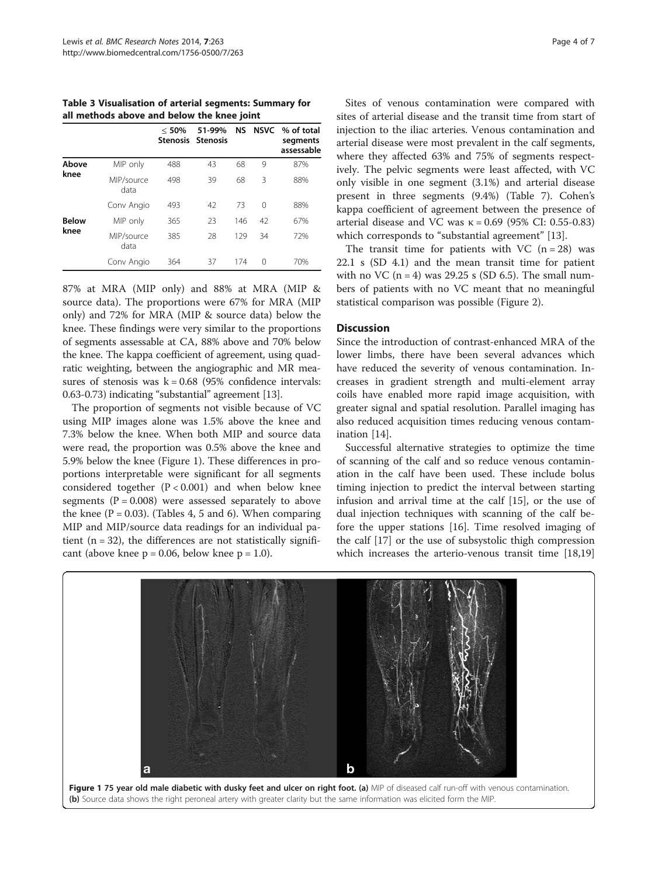<span id="page-3-0"></span>Table 3 Visualisation of arterial segments: Summary for all methods above and below the knee joint

|              |                    | < 50% | 51-99%<br>Stenosis Stenosis |     |          | NS NSVC % of total<br>segments<br>assessable |
|--------------|--------------------|-------|-----------------------------|-----|----------|----------------------------------------------|
| Above        | MIP only           | 488   | 43                          | 68  | 9        | 87%                                          |
| knee         | MIP/source<br>data | 498   | 39                          | 68  | 3        | 88%                                          |
|              | Conv Angio         | 493   | 42                          | 73  | $\Omega$ | 88%                                          |
| <b>Below</b> | MIP only           | 365   | 23                          | 146 | 42       | 67%                                          |
| knee         | MIP/source<br>data | 385   | 28                          | 129 | 34       | 72%                                          |
|              | Conv Angio         | 364   | 37                          | 174 | 0        | 70%                                          |

87% at MRA (MIP only) and 88% at MRA (MIP & source data). The proportions were 67% for MRA (MIP only) and 72% for MRA (MIP & source data) below the knee. These findings were very similar to the proportions of segments assessable at CA, 88% above and 70% below the knee. The kappa coefficient of agreement, using quadratic weighting, between the angiographic and MR measures of stenosis was  $k = 0.68$  (95% confidence intervals: 0.63-0.73) indicating "substantial" agreement [\[13\]](#page-6-0).

The proportion of segments not visible because of VC using MIP images alone was 1.5% above the knee and 7.3% below the knee. When both MIP and source data were read, the proportion was 0.5% above the knee and 5.9% below the knee (Figure 1). These differences in proportions interpretable were significant for all segments considered together  $(P < 0.001)$  and when below knee segments  $(P = 0.008)$  were assessed separately to above the knee ( $P = 0.03$ ). (Tables [4, 5](#page-4-0) and [6\)](#page-4-0). When comparing MIP and MIP/source data readings for an individual patient  $(n = 32)$ , the differences are not statistically significant (above knee  $p = 0.06$ , below knee  $p = 1.0$ ).

Sites of venous contamination were compared with sites of arterial disease and the transit time from start of injection to the iliac arteries. Venous contamination and arterial disease were most prevalent in the calf segments, where they affected 63% and 75% of segments respectively. The pelvic segments were least affected, with VC only visible in one segment (3.1%) and arterial disease present in three segments (9.4%) (Table [7\)](#page-4-0). Cohen's kappa coefficient of agreement between the presence of arterial disease and VC was  $κ = 0.69$  (95% CI: 0.55-0.83) which corresponds to "substantial agreement" [[13](#page-6-0)].

The transit time for patients with VC  $(n = 28)$  was 22.1 s (SD 4.1) and the mean transit time for patient with no VC  $(n = 4)$  was 29.25 s (SD 6.5). The small numbers of patients with no VC meant that no meaningful statistical comparison was possible (Figure [2\)](#page-5-0).

# Discussion

Since the introduction of contrast-enhanced MRA of the lower limbs, there have been several advances which have reduced the severity of venous contamination. Increases in gradient strength and multi-element array coils have enabled more rapid image acquisition, with greater signal and spatial resolution. Parallel imaging has also reduced acquisition times reducing venous contamination [\[14](#page-6-0)].

Successful alternative strategies to optimize the time of scanning of the calf and so reduce venous contamination in the calf have been used. These include bolus timing injection to predict the interval between starting infusion and arrival time at the calf [[15\]](#page-6-0), or the use of dual injection techniques with scanning of the calf before the upper stations [[16\]](#page-6-0). Time resolved imaging of the calf [[17\]](#page-6-0) or the use of subsystolic thigh compression which increases the arterio-venous transit time [[18](#page-6-0),[19](#page-6-0)]

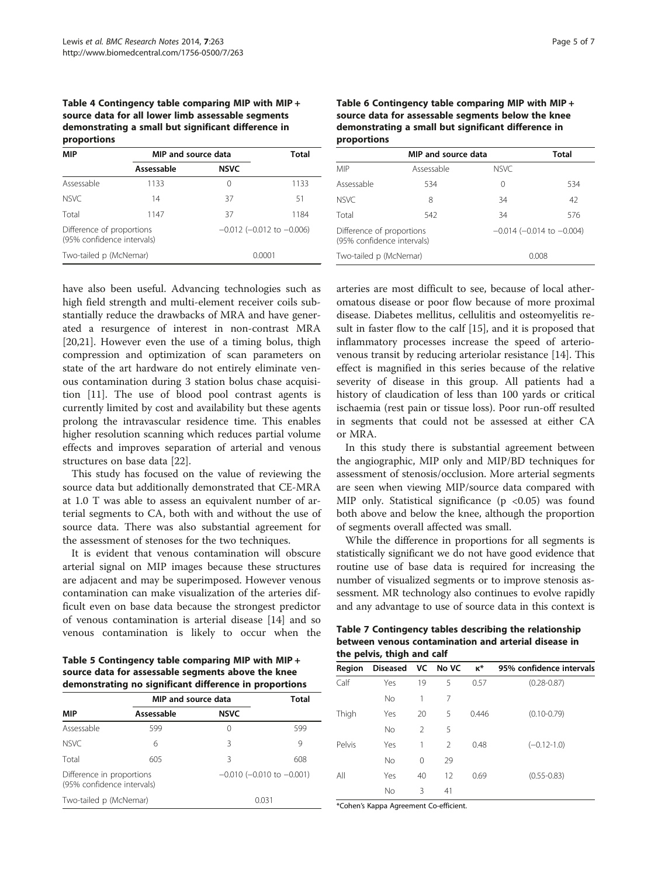# <span id="page-4-0"></span>Table 4 Contingency table comparing MIP with MIP + source data for all lower limb assessable segments demonstrating a small but significant difference in proportions

| <b>MIP</b>                                              | MIP and source data | <b>Total</b>                      |      |
|---------------------------------------------------------|---------------------|-----------------------------------|------|
|                                                         | Assessable          | <b>NSVC</b>                       |      |
| Assessable                                              | 1133                | $\left( \right)$                  | 1133 |
| NSVC.                                                   | 14                  | 37                                | 51   |
| Total                                                   | 1147                | 37                                | 1184 |
| Difference of proportions<br>(95% confidence intervals) |                     | $-0.012$ ( $-0.012$ to $-0.006$ ) |      |
| Two-tailed p (McNemar)                                  |                     | 0.0001                            |      |

have also been useful. Advancing technologies such as high field strength and multi-element receiver coils substantially reduce the drawbacks of MRA and have generated a resurgence of interest in non-contrast MRA [[20,21\]](#page-6-0). However even the use of a timing bolus, thigh compression and optimization of scan parameters on state of the art hardware do not entirely eliminate venous contamination during 3 station bolus chase acquisition [\[11\]](#page-6-0). The use of blood pool contrast agents is currently limited by cost and availability but these agents prolong the intravascular residence time. This enables higher resolution scanning which reduces partial volume effects and improves separation of arterial and venous structures on base data [[22\]](#page-6-0).

This study has focused on the value of reviewing the source data but additionally demonstrated that CE-MRA at 1.0 T was able to assess an equivalent number of arterial segments to CA, both with and without the use of source data. There was also substantial agreement for the assessment of stenoses for the two techniques.

It is evident that venous contamination will obscure arterial signal on MIP images because these structures are adjacent and may be superimposed. However venous contamination can make visualization of the arteries difficult even on base data because the strongest predictor of venous contamination is arterial disease [\[14\]](#page-6-0) and so venous contamination is likely to occur when the Table 6 Contingency table comparing MIP with MIP + source data for assessable segments below the knee demonstrating a small but significant difference in proportions

|                                                         | MIP and source data | <b>Total</b> |                                   |  |
|---------------------------------------------------------|---------------------|--------------|-----------------------------------|--|
| MIP                                                     | Assessable          | NSVC.        |                                   |  |
| Assessable                                              | 534                 | 0            | 534                               |  |
| NSVC.                                                   | 8                   | 34           | 42                                |  |
| Total                                                   | 542                 | 34           | 576                               |  |
| Difference of proportions<br>(95% confidence intervals) |                     |              | $-0.014$ ( $-0.014$ to $-0.004$ ) |  |
| Two-tailed p (McNemar)                                  |                     |              | 0.008                             |  |

arteries are most difficult to see, because of local atheromatous disease or poor flow because of more proximal disease. Diabetes mellitus, cellulitis and osteomyelitis result in faster flow to the calf [\[15](#page-6-0)], and it is proposed that inflammatory processes increase the speed of arteriovenous transit by reducing arteriolar resistance [\[14](#page-6-0)]. This effect is magnified in this series because of the relative severity of disease in this group. All patients had a history of claudication of less than 100 yards or critical ischaemia (rest pain or tissue loss). Poor run-off resulted in segments that could not be assessed at either CA or MRA.

In this study there is substantial agreement between the angiographic, MIP only and MIP/BD techniques for assessment of stenosis/occlusion. More arterial segments are seen when viewing MIP/source data compared with MIP only. Statistical significance  $(p \lt 0.05)$  was found both above and below the knee, although the proportion of segments overall affected was small.

While the difference in proportions for all segments is statistically significant we do not have good evidence that routine use of base data is required for increasing the number of visualized segments or to improve stenosis assessment. MR technology also continues to evolve rapidly and any advantage to use of source data in this context is

| Table 7 Contingency tables describing the relationship |
|--------------------------------------------------------|
| between venous contamination and arterial disease in   |
| the pelvis, thigh and calf                             |

Table 5 Contingency table comparing MIP with MIP + source data for assessable segments above the knee demonstrating no significant difference in proportions

|                                                         | MIP and source data | Total            |                                   |
|---------------------------------------------------------|---------------------|------------------|-----------------------------------|
| <b>MIP</b>                                              | Assessable          | <b>NSVC</b>      |                                   |
| Assessable                                              | 599                 | $\left( \right)$ | 599                               |
| NSVC.                                                   | 6                   | 3                | 9                                 |
| Total                                                   | 605                 | 3                | 608                               |
| Difference in proportions<br>(95% confidence intervals) |                     |                  | $-0.010$ ( $-0.010$ to $-0.001$ ) |
| Two-tailed p (McNemar)                                  |                     | 0.031            |                                   |

| the pelvis, thigh and calf |                   |               |                |            |                          |  |  |  |  |
|----------------------------|-------------------|---------------|----------------|------------|--------------------------|--|--|--|--|
| Region                     | Diseased VC No VC |               |                | $\kappa^*$ | 95% confidence intervals |  |  |  |  |
| Calf                       | Yes               | 19            | 5              | 0.57       | $(0.28 - 0.87)$          |  |  |  |  |
|                            | <b>No</b>         | 1             | 7              |            |                          |  |  |  |  |
| Thigh                      | Yes               | 20            | 5              | 0.446      | $(0.10 - 0.79)$          |  |  |  |  |
|                            | <b>No</b>         | $\mathcal{P}$ | 5              |            |                          |  |  |  |  |
| Pelvis                     | Yes               | 1             | $\mathfrak{D}$ | 0.48       | $(-0.12 - 1.0)$          |  |  |  |  |
|                            | <b>No</b>         | 0             | 29             |            |                          |  |  |  |  |
| All                        | Yes               | 40            | 12             | 0.69       | $(0.55 - 0.83)$          |  |  |  |  |
|                            | <b>No</b>         | 3             | 41             |            |                          |  |  |  |  |

\*Cohen's Kappa Agreement Co-efficient.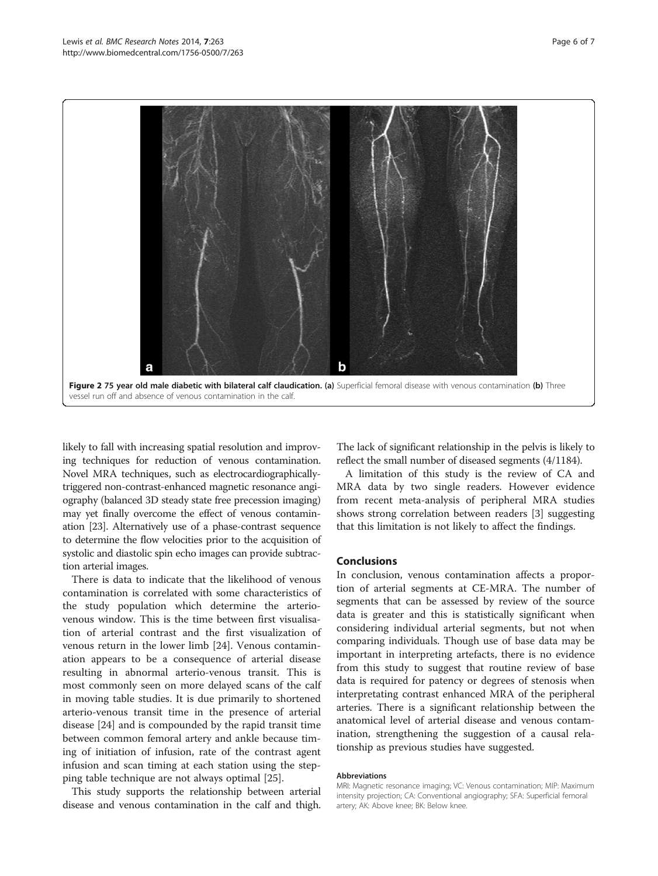<span id="page-5-0"></span>

likely to fall with increasing spatial resolution and improving techniques for reduction of venous contamination. Novel MRA techniques, such as electrocardiographicallytriggered non-contrast-enhanced magnetic resonance angiography (balanced 3D steady state free precession imaging) may yet finally overcome the effect of venous contamination [\[23\]](#page-6-0). Alternatively use of a phase-contrast sequence to determine the flow velocities prior to the acquisition of systolic and diastolic spin echo images can provide subtraction arterial images.

There is data to indicate that the likelihood of venous contamination is correlated with some characteristics of the study population which determine the arteriovenous window. This is the time between first visualisation of arterial contrast and the first visualization of venous return in the lower limb [[24\]](#page-6-0). Venous contamination appears to be a consequence of arterial disease resulting in abnormal arterio-venous transit. This is most commonly seen on more delayed scans of the calf in moving table studies. It is due primarily to shortened arterio-venous transit time in the presence of arterial disease [\[24](#page-6-0)] and is compounded by the rapid transit time between common femoral artery and ankle because timing of initiation of infusion, rate of the contrast agent infusion and scan timing at each station using the stepping table technique are not always optimal [\[25\]](#page-6-0).

This study supports the relationship between arterial disease and venous contamination in the calf and thigh.

The lack of significant relationship in the pelvis is likely to reflect the small number of diseased segments (4/1184).

A limitation of this study is the review of CA and MRA data by two single readers. However evidence from recent meta-analysis of peripheral MRA studies shows strong correlation between readers [\[3](#page-6-0)] suggesting that this limitation is not likely to affect the findings.

#### Conclusions

In conclusion, venous contamination affects a proportion of arterial segments at CE-MRA. The number of segments that can be assessed by review of the source data is greater and this is statistically significant when considering individual arterial segments, but not when comparing individuals. Though use of base data may be important in interpreting artefacts, there is no evidence from this study to suggest that routine review of base data is required for patency or degrees of stenosis when interpretating contrast enhanced MRA of the peripheral arteries. There is a significant relationship between the anatomical level of arterial disease and venous contamination, strengthening the suggestion of a causal relationship as previous studies have suggested.

#### Abbreviations

MRI: Magnetic resonance imaging; VC: Venous contamination; MIP: Maximum intensity projection; CA: Conventional angiography; SFA: Superficial femoral artery; AK: Above knee; BK: Below knee.